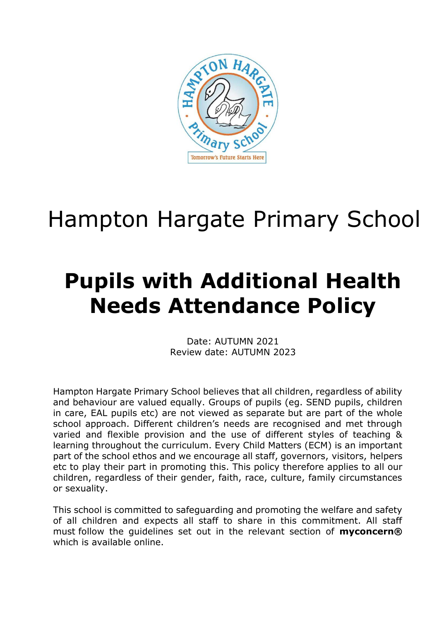

# Hampton Hargate Primary School

## **Pupils with Additional Health Needs Attendance Policy**

Date: AUTUMN 2021 Review date: AUTUMN 2023

Hampton Hargate Primary School believes that all children, regardless of ability and behaviour are valued equally. Groups of pupils (eg. SEND pupils, children in care, EAL pupils etc) are not viewed as separate but are part of the whole school approach. Different children's needs are recognised and met through varied and flexible provision and the use of different styles of teaching & learning throughout the curriculum. Every Child Matters (ECM) is an important part of the school ethos and we encourage all staff, governors, visitors, helpers etc to play their part in promoting this. This policy therefore applies to all our children, regardless of their gender, faith, race, culture, family circumstances or sexuality.

This school is committed to safeguarding and promoting the welfare and safety of all children and expects all staff to share in this commitment. All staff must follow the guidelines set out in the relevant section of **myconcern®** which is available online.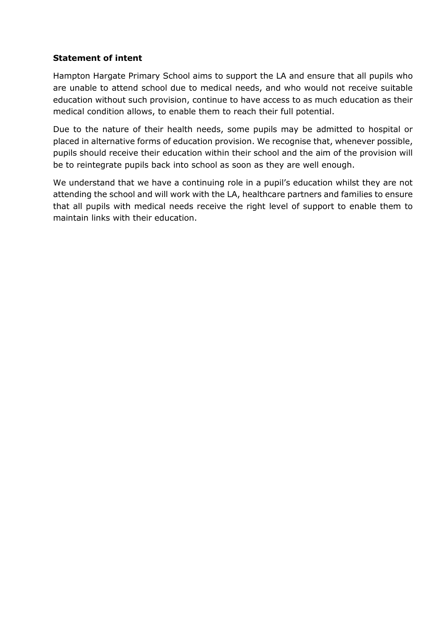#### **Statement of intent**

Hampton Hargate Primary School aims to support the LA and ensure that all pupils who are unable to attend school due to medical needs, and who would not receive suitable education without such provision, continue to have access to as much education as their medical condition allows, to enable them to reach their full potential.

Due to the nature of their health needs, some pupils may be admitted to hospital or placed in alternative forms of education provision. We recognise that, whenever possible, pupils should receive their education within their school and the aim of the provision will be to reintegrate pupils back into school as soon as they are well enough.

We understand that we have a continuing role in a pupil's education whilst they are not attending the school and will work with the LA, healthcare partners and families to ensure that all pupils with medical needs receive the right level of support to enable them to maintain links with their education.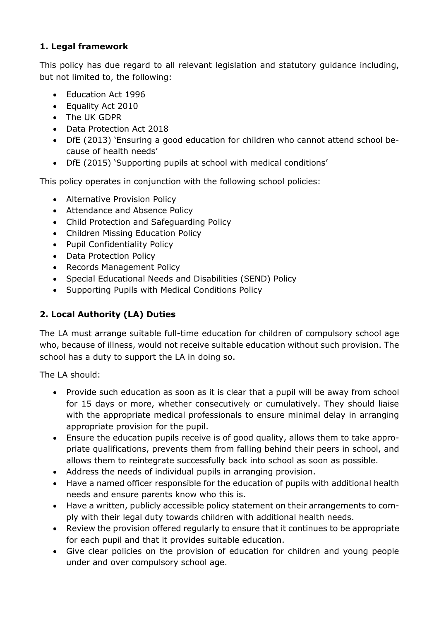## **1. Legal framework**

This policy has due regard to all relevant legislation and statutory guidance including, but not limited to, the following:

- Education Act 1996
- Equality Act 2010
- The UK GDPR
- Data Protection Act 2018
- DfE (2013) 'Ensuring a good education for children who cannot attend school because of health needs'
- DfE (2015) 'Supporting pupils at school with medical conditions'

This policy operates in conjunction with the following school policies:

- Alternative Provision Policy
- Attendance and Absence Policy
- Child Protection and Safeguarding Policy
- Children Missing Education Policy
- Pupil Confidentiality Policy
- Data Protection Policy
- Records Management Policy
- Special Educational Needs and Disabilities (SEND) Policy
- Supporting Pupils with Medical Conditions Policy

## **2. Local Authority (LA) Duties**

The LA must arrange suitable full-time education for children of compulsory school age who, because of illness, would not receive suitable education without such provision. The school has a duty to support the LA in doing so.

The LA should:

- Provide such education as soon as it is clear that a pupil will be away from school for 15 days or more, whether consecutively or cumulatively. They should liaise with the appropriate medical professionals to ensure minimal delay in arranging appropriate provision for the pupil.
- Ensure the education pupils receive is of good quality, allows them to take appropriate qualifications, prevents them from falling behind their peers in school, and allows them to reintegrate successfully back into school as soon as possible.
- Address the needs of individual pupils in arranging provision.
- Have a named officer responsible for the education of pupils with additional health needs and ensure parents know who this is.
- Have a written, publicly accessible policy statement on their arrangements to comply with their legal duty towards children with additional health needs.
- Review the provision offered regularly to ensure that it continues to be appropriate for each pupil and that it provides suitable education.
- Give clear policies on the provision of education for children and young people under and over compulsory school age.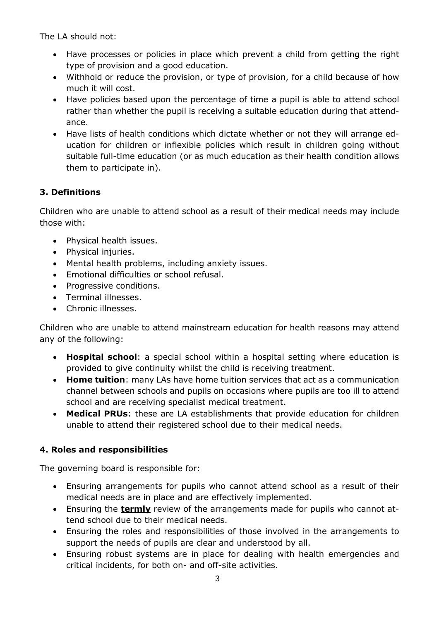The LA should not:

- Have processes or policies in place which prevent a child from getting the right type of provision and a good education.
- Withhold or reduce the provision, or type of provision, for a child because of how much it will cost.
- Have policies based upon the percentage of time a pupil is able to attend school rather than whether the pupil is receiving a suitable education during that attendance.
- Have lists of health conditions which dictate whether or not they will arrange education for children or inflexible policies which result in children going without suitable full-time education (or as much education as their health condition allows them to participate in).

## **3. Definitions**

Children who are unable to attend school as a result of their medical needs may include those with:

- Physical health issues.
- Physical injuries.
- Mental health problems, including anxiety issues.
- Emotional difficulties or school refusal.
- Progressive conditions.
- Terminal illnesses.
- Chronic illnesses.

Children who are unable to attend mainstream education for health reasons may attend any of the following:

- **Hospital school**: a special school within a hospital setting where education is provided to give continuity whilst the child is receiving treatment.
- **Home tuition**: many LAs have home tuition services that act as a communication channel between schools and pupils on occasions where pupils are too ill to attend school and are receiving specialist medical treatment.
- **Medical PRUs**: these are LA establishments that provide education for children unable to attend their registered school due to their medical needs.

## **4. Roles and responsibilities**

The governing board is responsible for:

- Ensuring arrangements for pupils who cannot attend school as a result of their medical needs are in place and are effectively implemented.
- Ensuring the **termly** review of the arrangements made for pupils who cannot attend school due to their medical needs.
- Ensuring the roles and responsibilities of those involved in the arrangements to support the needs of pupils are clear and understood by all.
- Ensuring robust systems are in place for dealing with health emergencies and critical incidents, for both on- and off-site activities.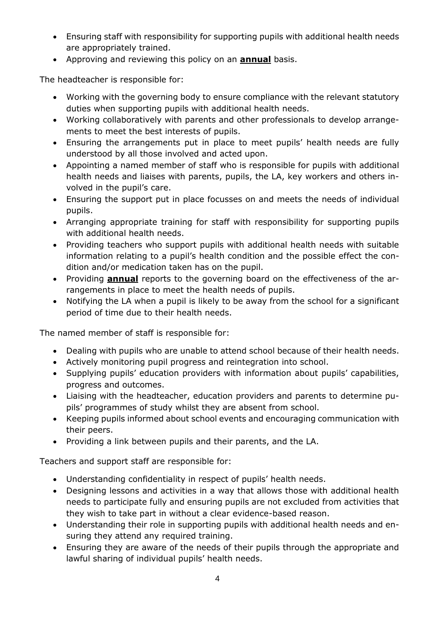- Ensuring staff with responsibility for supporting pupils with additional health needs are appropriately trained.
- Approving and reviewing this policy on an **annual** basis.

The headteacher is responsible for:

- Working with the governing body to ensure compliance with the relevant statutory duties when supporting pupils with additional health needs.
- Working collaboratively with parents and other professionals to develop arrangements to meet the best interests of pupils.
- Ensuring the arrangements put in place to meet pupils' health needs are fully understood by all those involved and acted upon.
- Appointing a named member of staff who is responsible for pupils with additional health needs and liaises with parents, pupils, the LA, key workers and others involved in the pupil's care.
- Ensuring the support put in place focusses on and meets the needs of individual pupils.
- Arranging appropriate training for staff with responsibility for supporting pupils with additional health needs.
- Providing teachers who support pupils with additional health needs with suitable information relating to a pupil's health condition and the possible effect the condition and/or medication taken has on the pupil.
- Providing **annual** reports to the governing board on the effectiveness of the arrangements in place to meet the health needs of pupils.
- Notifying the LA when a pupil is likely to be away from the school for a significant period of time due to their health needs.

The named member of staff is responsible for:

- Dealing with pupils who are unable to attend school because of their health needs.
- Actively monitoring pupil progress and reintegration into school.
- Supplying pupils' education providers with information about pupils' capabilities, progress and outcomes.
- Liaising with the headteacher, education providers and parents to determine pupils' programmes of study whilst they are absent from school.
- Keeping pupils informed about school events and encouraging communication with their peers.
- Providing a link between pupils and their parents, and the LA.

Teachers and support staff are responsible for:

- Understanding confidentiality in respect of pupils' health needs.
- Designing lessons and activities in a way that allows those with additional health needs to participate fully and ensuring pupils are not excluded from activities that they wish to take part in without a clear evidence-based reason.
- Understanding their role in supporting pupils with additional health needs and ensuring they attend any required training.
- Ensuring they are aware of the needs of their pupils through the appropriate and lawful sharing of individual pupils' health needs.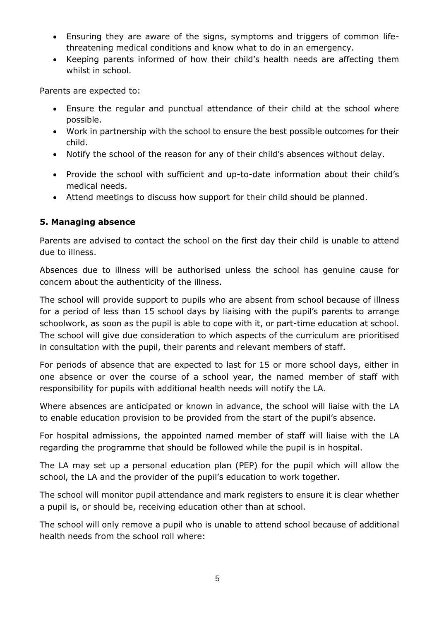- Ensuring they are aware of the signs, symptoms and triggers of common lifethreatening medical conditions and know what to do in an emergency.
- Keeping parents informed of how their child's health needs are affecting them whilst in school.

Parents are expected to:

- Ensure the regular and punctual attendance of their child at the school where possible.
- Work in partnership with the school to ensure the best possible outcomes for their child.
- Notify the school of the reason for any of their child's absences without delay.
- Provide the school with sufficient and up-to-date information about their child's medical needs.
- Attend meetings to discuss how support for their child should be planned.

#### **5. Managing absence**

Parents are advised to contact the school on the first day their child is unable to attend due to illness.

Absences due to illness will be authorised unless the school has genuine cause for concern about the authenticity of the illness.

The school will provide support to pupils who are absent from school because of illness for a period of less than 15 school days by liaising with the pupil's parents to arrange schoolwork, as soon as the pupil is able to cope with it, or part-time education at school. The school will give due consideration to which aspects of the curriculum are prioritised in consultation with the pupil, their parents and relevant members of staff.

For periods of absence that are expected to last for 15 or more school days, either in one absence or over the course of a school year, the named member of staff with responsibility for pupils with additional health needs will notify the LA.

Where absences are anticipated or known in advance, the school will liaise with the LA to enable education provision to be provided from the start of the pupil's absence.

For hospital admissions, the appointed named member of staff will liaise with the LA regarding the programme that should be followed while the pupil is in hospital.

The LA may set up a personal education plan (PEP) for the pupil which will allow the school, the LA and the provider of the pupil's education to work together.

The school will monitor pupil attendance and mark registers to ensure it is clear whether a pupil is, or should be, receiving education other than at school.

The school will only remove a pupil who is unable to attend school because of additional health needs from the school roll where: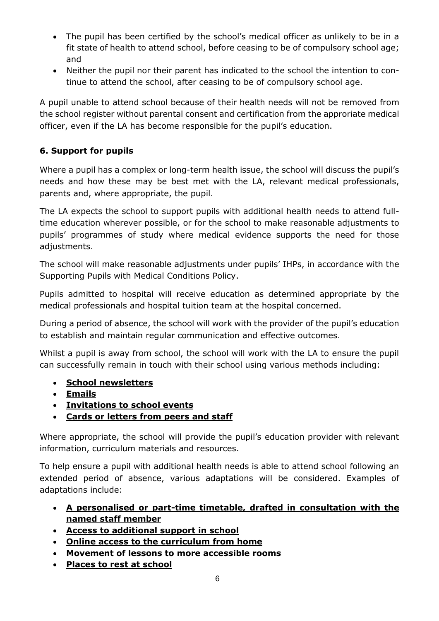- The pupil has been certified by the school's medical officer as unlikely to be in a fit state of health to attend school, before ceasing to be of compulsory school age; and
- Neither the pupil nor their parent has indicated to the school the intention to continue to attend the school, after ceasing to be of compulsory school age.

A pupil unable to attend school because of their health needs will not be removed from the school register without parental consent and certification from the approriate medical officer, even if the LA has become responsible for the pupil's education.

## **6. Support for pupils**

Where a pupil has a complex or long-term health issue, the school will discuss the pupil's needs and how these may be best met with the LA, relevant medical professionals, parents and, where appropriate, the pupil.

The LA expects the school to support pupils with additional health needs to attend fulltime education wherever possible, or for the school to make reasonable adjustments to pupils' programmes of study where medical evidence supports the need for those adjustments.

The school will make reasonable adjustments under pupils' IHPs, in accordance with the Supporting Pupils with Medical Conditions Policy.

Pupils admitted to hospital will receive education as determined appropriate by the medical professionals and hospital tuition team at the hospital concerned.

During a period of absence, the school will work with the provider of the pupil's education to establish and maintain regular communication and effective outcomes.

Whilst a pupil is away from school, the school will work with the LA to ensure the pupil can successfully remain in touch with their school using various methods including:

- **School newsletters**
- **Emails**
- **Invitations to school events**
- **Cards or letters from peers and staff**

Where appropriate, the school will provide the pupil's education provider with relevant information, curriculum materials and resources.

To help ensure a pupil with additional health needs is able to attend school following an extended period of absence, various adaptations will be considered. Examples of adaptations include:

- **A personalised or part-time timetable, drafted in consultation with the named staff member**
- **Access to additional support in school**
- **Online access to the curriculum from home**
- **Movement of lessons to more accessible rooms**
- **Places to rest at school**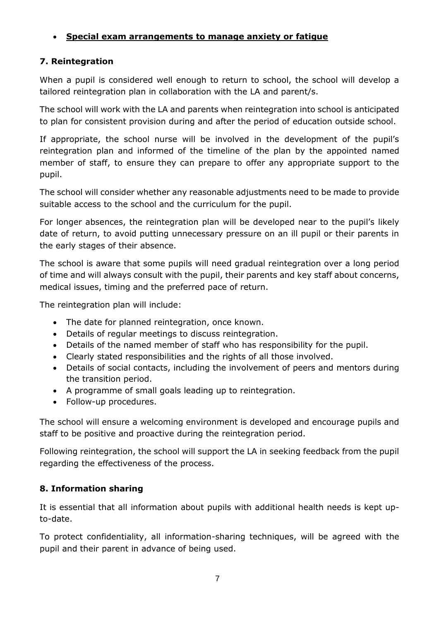## • **Special exam arrangements to manage anxiety or fatigue**

### **7. Reintegration**

When a pupil is considered well enough to return to school, the school will develop a tailored reintegration plan in collaboration with the LA and parent/s.

The school will work with the LA and parents when reintegration into school is anticipated to plan for consistent provision during and after the period of education outside school.

If appropriate, the school nurse will be involved in the development of the pupil's reintegration plan and informed of the timeline of the plan by the appointed named member of staff, to ensure they can prepare to offer any appropriate support to the pupil.

The school will consider whether any reasonable adjustments need to be made to provide suitable access to the school and the curriculum for the pupil.

For longer absences, the reintegration plan will be developed near to the pupil's likely date of return, to avoid putting unnecessary pressure on an ill pupil or their parents in the early stages of their absence.

The school is aware that some pupils will need gradual reintegration over a long period of time and will always consult with the pupil, their parents and key staff about concerns, medical issues, timing and the preferred pace of return.

The reintegration plan will include:

- The date for planned reintegration, once known.
- Details of regular meetings to discuss reintegration.
- Details of the named member of staff who has responsibility for the pupil.
- Clearly stated responsibilities and the rights of all those involved.
- Details of social contacts, including the involvement of peers and mentors during the transition period.
- A programme of small goals leading up to reintegration.
- Follow-up procedures.

The school will ensure a welcoming environment is developed and encourage pupils and staff to be positive and proactive during the reintegration period.

Following reintegration, the school will support the LA in seeking feedback from the pupil regarding the effectiveness of the process.

### **8. Information sharing**

It is essential that all information about pupils with additional health needs is kept upto-date.

To protect confidentiality, all information-sharing techniques, will be agreed with the pupil and their parent in advance of being used.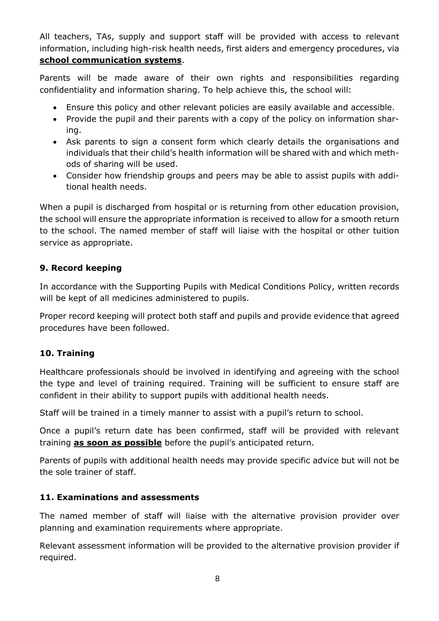All teachers, TAs, supply and support staff will be provided with access to relevant information, including high-risk health needs, first aiders and emergency procedures, via **school communication systems**.

Parents will be made aware of their own rights and responsibilities regarding confidentiality and information sharing. To help achieve this, the school will:

- Ensure this policy and other relevant policies are easily available and accessible.
- Provide the pupil and their parents with a copy of the policy on information sharing.
- Ask parents to sign a consent form which clearly details the organisations and individuals that their child's health information will be shared with and which methods of sharing will be used.
- Consider how friendship groups and peers may be able to assist pupils with additional health needs.

When a pupil is discharged from hospital or is returning from other education provision, the school will ensure the appropriate information is received to allow for a smooth return to the school. The named member of staff will liaise with the hospital or other tuition service as appropriate.

## **9. Record keeping**

In accordance with the Supporting Pupils with Medical Conditions Policy, written records will be kept of all medicines administered to pupils.

Proper record keeping will protect both staff and pupils and provide evidence that agreed procedures have been followed.

### **10. Training**

Healthcare professionals should be involved in identifying and agreeing with the school the type and level of training required. Training will be sufficient to ensure staff are confident in their ability to support pupils with additional health needs.

Staff will be trained in a timely manner to assist with a pupil's return to school.

Once a pupil's return date has been confirmed, staff will be provided with relevant training **as soon as possible** before the pupil's anticipated return.

Parents of pupils with additional health needs may provide specific advice but will not be the sole trainer of staff.

### **11. Examinations and assessments**

The named member of staff will liaise with the alternative provision provider over planning and examination requirements where appropriate.

Relevant assessment information will be provided to the alternative provision provider if required.